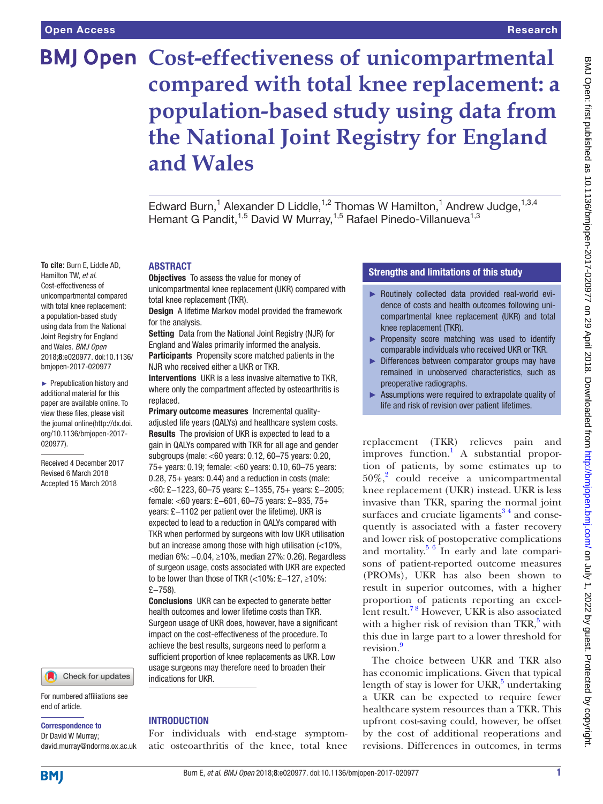# Research

# **BMJ Open Cost-effectiveness of unicompartmental compared with total knee replacement: a population-based study using data from the National Joint Registry for England and Wales**

Edward Burn,<sup>1</sup> Alexander D Liddle,<sup>1,2</sup> Thomas W Hamilton,<sup>1</sup> Andrew Judge,<sup>1,3,4</sup> Hemant G Pandit,<sup>1,5</sup> David W Murray,<sup>1,5</sup> Rafael Pinedo-Villanueva<sup>1,3</sup>

#### **To cite:** Burn E, Liddle AD, Hamilton TW, *et al*. Cost-effectiveness of unicompartmental compared with total knee replacement: a population-based study using data from the National Joint Registry for England and Wales. *BMJ Open* 2018;8:e020977. doi:10.1136/ bmjopen-2017-020977

► Prepublication history and additional material for this paper are available online. To view these files, please visit the journal online([http://dx.doi.](http://dx.doi.org/10.1136/bmjopen-2017-020977) [org/10.1136/bmjopen-2017-](http://dx.doi.org/10.1136/bmjopen-2017-020977) [020977\)](http://dx.doi.org/10.1136/bmjopen-2017-020977).

Received 4 December 2017 Revised 6 March 2018 Accepted 15 March 2018



For numbered affiliations see end of article.

#### Correspondence to

Dr David W Murray; david.murray@ndorms.ox.ac.uk

# **ABSTRACT**

**Objectives** To assess the value for money of unicompartmental knee replacement (UKR) compared with total knee replacement (TKR).

Design A lifetime Markov model provided the framework for the analysis.

Setting Data from the National Joint Registry (NJR) for England and Wales primarily informed the analysis.

Participants Propensity score matched patients in the NJR who received either a UKR or TKR.

Interventions UKR is a less invasive alternative to TKR, where only the compartment affected by osteoarthritis is replaced.

Primary outcome measures Incremental qualityadjusted life years (QALYs) and healthcare system costs. Results The provision of UKR is expected to lead to a gain in QALYs compared with TKR for all age and gender subgroups (male: <60 years: 0.12, 60–75 years: 0.20, 75+ years: 0.19; female: <60 years: 0.10, 60–75 years: 0.28, 75+ years: 0.44) and a reduction in costs (male: <60: £−1223, 60–75 years: £−1355, 75+ years: £−2005; female: <60 years: £−601, 60–75 years: £−935, 75+ years: £−1102 per patient over the lifetime). UKR is expected to lead to a reduction in QALYs compared with TKR when performed by surgeons with low UKR utilisation but an increase among those with high utilisation (<10%, median 6%: −0.04, ≥10%, median 27%: 0.26). Regardless of surgeon usage, costs associated with UKR are expected to be lower than those of TKR (<10%: £−127, ≥10%: £−758).

Conclusions UKR can be expected to generate better health outcomes and lower lifetime costs than TKR. Surgeon usage of UKR does, however, have a significant impact on the cost-effectiveness of the procedure. To achieve the best results, surgeons need to perform a sufficient proportion of knee replacements as UKR. Low usage surgeons may therefore need to broaden their indications for UKR.

#### **INTRODUCTION**

For individuals with end-stage symptomatic osteoarthritis of the knee, total knee

# Strengths and limitations of this study

- ► Routinely collected data provided real-world evidence of costs and health outcomes following unicompartmental knee replacement (UKR) and total knee replacement (TKR).
- ► Propensity score matching was used to identify comparable individuals who received UKR or TKR.
- ► Differences between comparator groups may have remained in unobserved characteristics, such as preoperative radiographs.
- ► Assumptions were required to extrapolate quality of life and risk of revision over patient lifetimes.

replacement (TKR) relieves pain and improves function.<sup>[1](#page-6-0)</sup> A substantial proportion of patients, by some estimates up to 50%,[2](#page-6-1) could receive a unicompartmental knee replacement (UKR) instead. UKR is less invasive than TKR, sparing the normal joint surfaces and cruciate ligaments $3<sup>4</sup>$  and consequently is associated with a faster recovery and lower risk of postoperative complications and mortality.<sup>5 6</sup> In early and late comparisons of patient-reported outcome measures (PROMs), UKR has also been shown to result in superior outcomes, with a higher proportion of patients reporting an excellent result.<sup>78</sup> However, UKR is also associated with a higher risk of revision than  $\text{TKR},^5$  with this due in large part to a lower threshold for revision.<sup>[9](#page-6-5)</sup>

The choice between UKR and TKR also has economic implications. Given that typical length of stay is lower for UKR,<sup>[5](#page-6-3)</sup> undertaking a UKR can be expected to require fewer healthcare system resources than a TKR. This upfront cost-saving could, however, be offset by the cost of additional reoperations and revisions. Differences in outcomes, in terms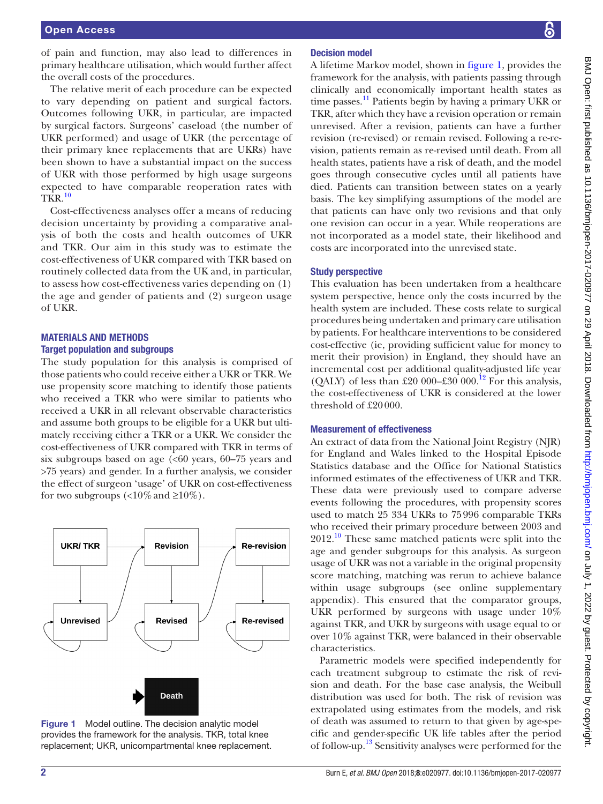of pain and function, may also lead to differences in primary healthcare utilisation, which would further affect the overall costs of the procedures.

The relative merit of each procedure can be expected to vary depending on patient and surgical factors. Outcomes following UKR, in particular, are impacted by surgical factors. Surgeons' caseload (the number of UKR performed) and usage of UKR (the percentage of their primary knee replacements that are UKRs) have been shown to have a substantial impact on the success of UKR with those performed by high usage surgeons expected to have comparable reoperation rates with TKR.[10](#page-6-6)

Cost-effectiveness analyses offer a means of reducing decision uncertainty by providing a comparative analysis of both the costs and health outcomes of UKR and TKR. Our aim in this study was to estimate the cost-effectiveness of UKR compared with TKR based on routinely collected data from the UK and, in particular, to assess how cost-effectiveness varies depending on (1) the age and gender of patients and (2) surgeon usage of UKR.

# Materials and methods Target population and subgroups

The study population for this analysis is comprised of those patients who could receive either a UKR or TKR. We use propensity score matching to identify those patients who received a TKR who were similar to patients who received a UKR in all relevant observable characteristics and assume both groups to be eligible for a UKR but ultimately receiving either a TKR or a UKR. We consider the cost-effectiveness of UKR compared with TKR in terms of six subgroups based on age  $\ll 60$  years, 60–75 years and >75 years) and gender. In a further analysis, we consider the effect of surgeon 'usage' of UKR on cost-effectiveness for two subgroups  $\left( < 10\% \text{ and } \geq 10\% \right)$ .



<span id="page-1-0"></span>Figure 1 Model outline. The decision analytic model provides the framework for the analysis. TKR, total knee replacement; UKR, unicompartmental knee replacement.

# Decision model

A lifetime Markov model, shown in [figure](#page-1-0) 1, provides the framework for the analysis, with patients passing through clinically and economically important health states as time passes. $^{11}$  Patients begin by having a primary UKR or TKR, after which they have a revision operation or remain unrevised. After a revision, patients can have a further revision (re-revised) or remain revised. Following a re-revision, patients remain as re-revised until death. From all health states, patients have a risk of death, and the model goes through consecutive cycles until all patients have died. Patients can transition between states on a yearly basis. The key simplifying assumptions of the model are that patients can have only two revisions and that only one revision can occur in a year. While reoperations are not incorporated as a model state, their likelihood and costs are incorporated into the unrevised state.

# Study perspective

This evaluation has been undertaken from a healthcare system perspective, hence only the costs incurred by the health system are included. These costs relate to surgical procedures being undertaken and primary care utilisation by patients. For healthcare interventions to be considered cost-effective (ie, providing sufficient value for money to merit their provision) in England, they should have an incremental cost per additional quality-adjusted life year (QALY) of less than £20 000–£30 000.<sup>12</sup> For this analysis, the cost-effectiveness of UKR is considered at the lower threshold of £20000.

# Measurement of effectiveness

An extract of data from the National Joint Registry (NJR) for England and Wales linked to the Hospital Episode Statistics database and the Office for National Statistics informed estimates of the effectiveness of UKR and TKR. These data were previously used to compare adverse events following the procedures, with propensity scores used to match 25 334 UKRs to 75996 comparable TKRs who received their primary procedure between 2003 and  $2012<sup>10</sup>$  These same matched patients were split into the age and gender subgroups for this analysis. As surgeon usage of UKR was not a variable in the original propensity score matching, matching was rerun to achieve balance within usage subgroups (see online [supplementary](https://dx.doi.org/10.1136/bmjopen-2017-020977)  [appendix](https://dx.doi.org/10.1136/bmjopen-2017-020977)). This ensured that the comparator groups, UKR performed by surgeons with usage under 10% against TKR, and UKR by surgeons with usage equal to or over 10% against TKR, were balanced in their observable characteristics.

Parametric models were specified independently for each treatment subgroup to estimate the risk of revision and death. For the base case analysis, the Weibull distribution was used for both. The risk of revision was extrapolated using estimates from the models, and risk of death was assumed to return to that given by age-specific and gender-specific UK life tables after the period of follow-up.<sup>13</sup> Sensitivity analyses were performed for the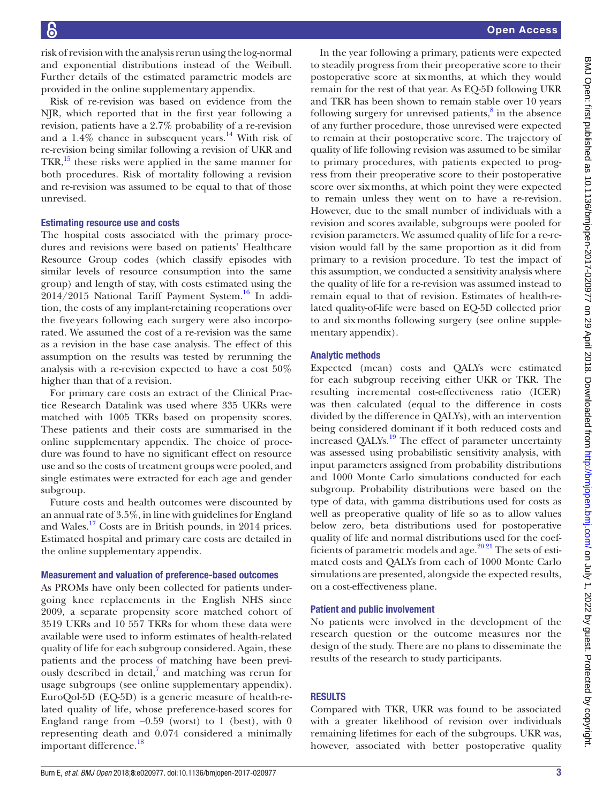risk of revision with the analysis rerun using the log-normal and exponential distributions instead of the Weibull. Further details of the estimated parametric models are provided in the online [supplementary appendix.](https://dx.doi.org/10.1136/bmjopen-2017-020977)

Risk of re-revision was based on evidence from the NJR, which reported that in the first year following a revision, patients have a 2.7% probability of a re-revision and a  $1.4\%$  chance in subsequent years.<sup>14</sup> With risk of re-revision being similar following a revision of UKR and TKR, $^{15}$  these risks were applied in the same manner for both procedures. Risk of mortality following a revision and re-revision was assumed to be equal to that of those unrevised.

#### Estimating resource use and costs

The hospital costs associated with the primary procedures and revisions were based on patients' Healthcare Resource Group codes (which classify episodes with similar levels of resource consumption into the same group) and length of stay, with costs estimated using the  $2014/2015$  National Tariff Payment System.<sup>16</sup> In addition, the costs of any implant-retaining reoperations over the five years following each surgery were also incorporated. We assumed the cost of a re-revision was the same as a revision in the base case analysis. The effect of this assumption on the results was tested by rerunning the analysis with a re-revision expected to have a cost 50% higher than that of a revision.

For primary care costs an extract of the Clinical Practice Research Datalink was used where 335 UKRs were matched with 1005 TKRs based on propensity scores. These patients and their costs are summarised in the online [supplementary appendix](https://dx.doi.org/10.1136/bmjopen-2017-020977). The choice of procedure was found to have no significant effect on resource use and so the costs of treatment groups were pooled, and single estimates were extracted for each age and gender subgroup.

Future costs and health outcomes were discounted by an annual rate of 3.5%, in line with guidelines for England and Wales.[17](#page-7-3) Costs are in British pounds, in 2014 prices. Estimated hospital and primary care costs are detailed in the online [supplementary appendix.](https://dx.doi.org/10.1136/bmjopen-2017-020977)

#### Measurement and valuation of preference-based outcomes

As PROMs have only been collected for patients undergoing knee replacements in the English NHS since 2009, a separate propensity score matched cohort of 3519 UKRs and 10 557 TKRs for whom these data were available were used to inform estimates of health-related quality of life for each subgroup considered. Again, these patients and the process of matching have been previously described in detail, $7$  and matching was rerun for usage subgroups (see online [supplementary appendix](https://dx.doi.org/10.1136/bmjopen-2017-020977)). EuroQol-5D (EQ-5D) is a generic measure of health-related quality of life, whose preference-based scores for England range from  $-0.59$  (worst) to 1 (best), with 0 representing death and 0.074 considered a minimally important difference.<sup>[18](#page-7-4)</sup>

In the year following a primary, patients were expected to steadily progress from their preoperative score to their postoperative score at sixmonths, at which they would remain for the rest of that year. As EQ-5D following UKR and TKR has been shown to remain stable over 10 years following surgery for unrevised patients,<sup>8</sup> in the absence of any further procedure, those unrevised were expected to remain at their postoperative score. The trajectory of quality of life following revision was assumed to be similar to primary procedures, with patients expected to progress from their preoperative score to their postoperative score over sixmonths, at which point they were expected to remain unless they went on to have a re-revision. However, due to the small number of individuals with a revision and scores available, subgroups were pooled for revision parameters. We assumed quality of life for a re-revision would fall by the same proportion as it did from primary to a revision procedure. To test the impact of this assumption, we conducted a sensitivity analysis where the quality of life for a re-revision was assumed instead to remain equal to that of revision. Estimates of health-related quality-of-life were based on EQ-5D collected prior to and sixmonths following surgery (see online [supple](https://dx.doi.org/10.1136/bmjopen-2017-020977)[mentary appendix\)](https://dx.doi.org/10.1136/bmjopen-2017-020977).

#### Analytic methods

Expected (mean) costs and QALYs were estimated for each subgroup receiving either UKR or TKR. The resulting incremental cost-effectiveness ratio (ICER) was then calculated (equal to the difference in costs divided by the difference in QALYs), with an intervention being considered dominant if it both reduced costs and increased QALYs.<sup>19</sup> The effect of parameter uncertainty was assessed using probabilistic sensitivity analysis, with input parameters assigned from probability distributions and 1000 Monte Carlo simulations conducted for each subgroup. Probability distributions were based on the type of data, with gamma distributions used for costs as well as preoperative quality of life so as to allow values below zero, beta distributions used for postoperative quality of life and normal distributions used for the coefficients of parametric models and age. $20\frac{20\frac{21}{1}}{21}$  The sets of estimated costs and QALYs from each of 1000 Monte Carlo simulations are presented, alongside the expected results, on a cost-effectiveness plane.

#### Patient and public involvement

No patients were involved in the development of the research question or the outcome measures nor the design of the study. There are no plans to disseminate the results of the research to study participants.

#### **RESULTS**

Compared with TKR, UKR was found to be associated with a greater likelihood of revision over individuals remaining lifetimes for each of the subgroups. UKR was, however, associated with better postoperative quality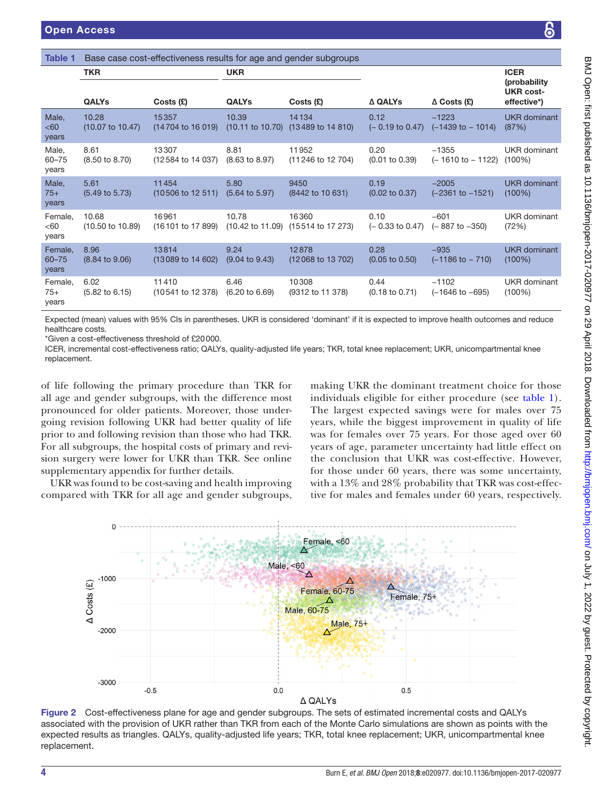|                               | <b>TKR</b>                           |                                      | <b>UKR</b>                           |                                                                  |                                    |                                               | <b>ICER</b>                                     |
|-------------------------------|--------------------------------------|--------------------------------------|--------------------------------------|------------------------------------------------------------------|------------------------------------|-----------------------------------------------|-------------------------------------------------|
|                               | <b>QALYs</b>                         | Costs(E)                             | <b>QALYs</b>                         | Costs(E)                                                         | ∆ QALYs                            | $\Delta$ Costs (£)                            | (probability<br><b>UKR cost-</b><br>effective*) |
| Male,<br>< 60<br>years        | 10.28<br>$(10.07 \text{ to } 10.47)$ | 15357<br>$(14704 \text{ to } 16019)$ | 10.39                                | 14134<br>$(10.11 \text{ to } 10.70)$ $(13489 \text{ to } 14810)$ | 0.12<br>$(-0.19 \text{ to } 0.47)$ | $-1223$<br>$(-1439$ to $-1014)$               | <b>UKR</b> dominant<br>(87%)                    |
| Male,<br>$60 - 75$<br>years   | 8.61<br>$(8.50 \text{ to } 8.70)$    | 13307<br>(12584 to 14 037)           | 8.81<br>$(8.63 \text{ to } 8.97)$    | 11952<br>(11246 to 12 704)                                       | 0.20<br>$(0.01 \text{ to } 0.39)$  | $-1355$<br>$(-1610 \text{ to } -1122)$ (100%) | <b>UKR</b> dominant                             |
| Male,<br>$75+$<br>years       | 5.61<br>$(5.49 \text{ to } 5.73)$    | 11454<br>$(10506 \text{ to } 12511)$ | 5.80<br>$(5.64 \text{ to } 5.97)$    | 9450<br>(8442 to 10 631)                                         | 0.19<br>$(0.02 \text{ to } 0.37)$  | $-2005$<br>$(-2361$ to $-1521)$               | <b>UKR</b> dominant<br>$(100\%)$                |
| Female,<br>< 60<br>years      | 10.68<br>$(10.50 \text{ to } 10.89)$ | 16961<br>(16 101 to 17 899)          | 10.78<br>$(10.42 \text{ to } 11.09)$ | 16360<br>(15514 to 17 273)                                       | 0.10<br>$(-0.33 \text{ to } 0.47)$ | $-601$<br>(-887 to -350)                      | <b>UKR</b> dominant<br>(72%)                    |
| Female,<br>$60 - 75$<br>years | 8.96<br>$(8.84 \text{ to } 9.06)$    | 13814<br>$(13089 \text{ to } 14602)$ | 9.24<br>$(9.04 \text{ to } 9.43)$    | 12878<br>(12068 to 13 702)                                       | 0.28<br>$(0.05 \text{ to } 0.50)$  | $-935$<br>$(-1186 \text{ to } -710)$          | <b>UKR</b> dominant<br>$(100\%)$                |
| Female.<br>$75+$<br>years     | 6.02<br>$(5.82 \text{ to } 6.15)$    | 11410<br>(10541 to 12 378)           | 6.46<br>$(6.20 \text{ to } 6.69)$    | 10308<br>(9312 to 11 378)                                        | 0.44<br>$(0.18 \text{ to } 0.71)$  | $-1102$<br>$(-1646 \text{ to } -695)$         | <b>UKR</b> dominant<br>$(100\%)$                |

<span id="page-3-0"></span>Table 1 Base case cost-effectiveness results for age and gender subgroups

\*Given a cost-effectiveness threshold of £20000.

ICER, incremental cost-effectiveness ratio; QALYs, quality-adjusted life years; TKR, total knee replacement; UKR, unicompartmental knee replacement.

of life following the primary procedure than TKR for all age and gender subgroups, with the difference most pronounced for older patients. Moreover, those undergoing revision following UKR had better quality of life prior to and following revision than those who had TKR. For all subgroups, the hospital costs of primary and revision surgery were lower for UKR than TKR. See online [supplementary appendix](https://dx.doi.org/10.1136/bmjopen-2017-020977) for further details.

UKR was found to be cost-saving and health improving compared with TKR for all age and gender subgroups,

making UKR the dominant treatment choice for those individuals eligible for either procedure (see [table](#page-3-0) 1). The largest expected savings were for males over 75 years, while the biggest improvement in quality of life was for females over 75 years. For those aged over 60 years of age, parameter uncertainty had little effect on the conclusion that UKR was cost-effective. However, for those under 60 years, there was some uncertainty, with a 13% and 28% probability that TKR was cost-effective for males and females under 60 years, respectively.



<span id="page-3-1"></span>Figure 2 Cost-effectiveness plane for age and gender subgroups. The sets of estimated incremental costs and QALYs associated with the provision of UKR rather than TKR from each of the Monte Carlo simulations are shown as points with the expected results as triangles. QALYs, quality-adjusted life years; TKR, total knee replacement; UKR, unicompartmental knee replacement.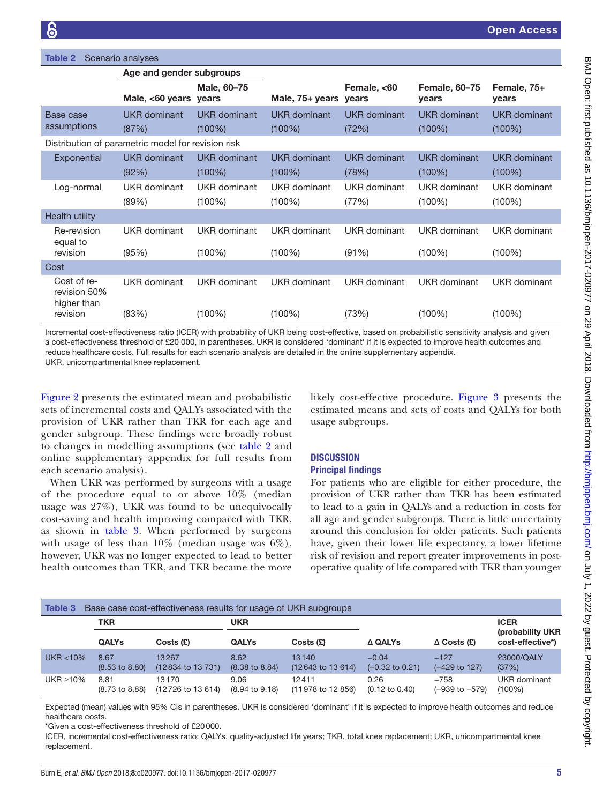<span id="page-4-0"></span>

| Table 2<br>Scenario analyses                       |                              |                                  |                                  |                              |                                  |                                  |  |
|----------------------------------------------------|------------------------------|----------------------------------|----------------------------------|------------------------------|----------------------------------|----------------------------------|--|
|                                                    | Age and gender subgroups     |                                  |                                  |                              |                                  |                                  |  |
|                                                    | Male, <60 years              | Male, 60-75<br>vears             | Male, 75+ years                  | Female, <60<br>years         | <b>Female, 60-75</b><br>vears    | Female, 75+<br>years             |  |
| Base case<br>assumptions                           | UKR dominant<br>(87%)        | UKR dominant<br>$(100\%)$        | UKR dominant<br>$(100\%)$        | UKR dominant<br>(72%)        | UKR dominant<br>$(100\%)$        | UKR dominant<br>$(100\%)$        |  |
| Distribution of parametric model for revision risk |                              |                                  |                                  |                              |                                  |                                  |  |
| Exponential                                        | <b>UKR</b> dominant<br>(92%) | <b>UKR</b> dominant<br>$(100\%)$ | <b>UKR</b> dominant<br>$(100\%)$ | <b>UKR</b> dominant<br>(78%) | <b>UKR</b> dominant<br>$(100\%)$ | <b>UKR</b> dominant<br>$(100\%)$ |  |
| Log-normal                                         | UKR dominant<br>(89%)        | <b>UKR</b> dominant<br>$(100\%)$ | UKR dominant<br>$(100\%)$        | UKR dominant<br>(77%)        | UKR dominant<br>(100%)           | UKR dominant<br>$(100\%)$        |  |
| Health utility                                     |                              |                                  |                                  |                              |                                  |                                  |  |
| Re-revision<br>equal to<br>revision                | UKR dominant<br>(95%)        | <b>UKR</b> dominant<br>(100%)    | <b>UKR</b> dominant<br>$(100\%)$ | <b>UKR</b> dominant<br>(91%) | <b>UKR</b> dominant<br>$(100\%)$ | <b>UKR</b> dominant<br>(100%)    |  |
| Cost                                               |                              |                                  |                                  |                              |                                  |                                  |  |
| Cost of re-<br>revision 50%<br>higher than         | UKR dominant                 | <b>UKR</b> dominant              | UKR dominant                     | UKR dominant                 | UKR dominant                     | <b>UKR</b> dominant              |  |
| revision                                           | (83%)                        | (100%)                           | $(100\%)$                        | (73%)                        | (100%)                           | $(100\%)$                        |  |

Incremental cost-effectiveness ratio (ICER) with probability of UKR being cost-effective, based on probabilistic sensitivity analysis and given a cost-effectiveness threshold of £20 000, in parentheses. UKR is considered 'dominant' if it is expected to improve health outcomes and reduce healthcare costs. Full results for each scenario analysis are detailed in the online [supplementary appendix](https://dx.doi.org/10.1136/bmjopen-2017-020977). UKR, unicompartmental knee replacement.

[Figure](#page-3-1) 2 presents the estimated mean and probabilistic sets of incremental costs and QALYs associated with the provision of UKR rather than TKR for each age and gender subgroup. These findings were broadly robust to changes in modelling assumptions (see [table](#page-4-0) 2 and online [supplementary appendix](https://dx.doi.org/10.1136/bmjopen-2017-020977) for full results from each scenario analysis).

When UKR was performed by surgeons with a usage of the procedure equal to or above 10% (median usage was 27%), UKR was found to be unequivocally cost-saving and health improving compared with TKR, as shown in [table](#page-4-1) 3. When performed by surgeons with usage of less than  $10\%$  (median usage was  $6\%$ ), however, UKR was no longer expected to lead to better health outcomes than TKR, and TKR became the more

likely cost-effective procedure. [Figure](#page-5-0) 3 presents the estimated means and sets of costs and QALYs for both usage subgroups.

# **DISCUSSION**

# Principal findings

For patients who are eligible for either procedure, the provision of UKR rather than TKR has been estimated to lead to a gain in QALYs and a reduction in costs for all age and gender subgroups. There is little uncertainty around this conclusion for older patients. Such patients have, given their lower life expectancy, a lower lifetime risk of revision and report greater improvements in postoperative quality of life compared with TKR than younger

<span id="page-4-1"></span>

| Table 3<br>Base case cost-effectiveness results for usage of UKR subgroups |                                   |                            |                                   |                                      |                                       |                                    |                                      |
|----------------------------------------------------------------------------|-----------------------------------|----------------------------|-----------------------------------|--------------------------------------|---------------------------------------|------------------------------------|--------------------------------------|
|                                                                            | <b>TKR</b>                        |                            | <b>UKR</b>                        |                                      |                                       |                                    | <b>ICER</b>                          |
|                                                                            | <b>QALYs</b>                      | Costs(E)                   | <b>QALYs</b>                      | Costs (£)                            | ∆ QALYs                               | $\triangle$ Costs (£)              | (probability UKR<br>cost-effective*) |
| UKR $<$ 10%                                                                | 8.67<br>$(8.53 \text{ to } 8.80)$ | 13267<br>(12834 to 13 731) | 8.62<br>$(8.38 \text{ to } 8.84)$ | 13140<br>$(12643 \text{ to } 13614)$ | $-0.04$<br>$(-0.32 \text{ to } 0.21)$ | $-127$<br>$(-429 \text{ to } 127)$ | £3000/QALY<br>(37%)                  |
| UKR $\geq 10\%$                                                            | 8.81<br>$(8.73 \text{ to } 8.88)$ | 13170<br>(12726 to 13 614) | 9.06<br>$(8.94 \text{ to } 9.18)$ | 12411<br>(11978 to 12 856)           | 0.26<br>$(0.12 \text{ to } 0.40)$     | $-758$<br>$(-939$ to $-579)$       | UKR dominant<br>$(100\%)$            |

Expected (mean) values with 95% CIs in parentheses. UKR is considered 'dominant' if it is expected to improve health outcomes and reduce healthcare costs.

\*Given a cost-effectiveness threshold of £20000.

ICER, incremental cost-effectiveness ratio; QALYs, quality-adjusted life years; TKR, total knee replacement; UKR, unicompartmental knee replacement.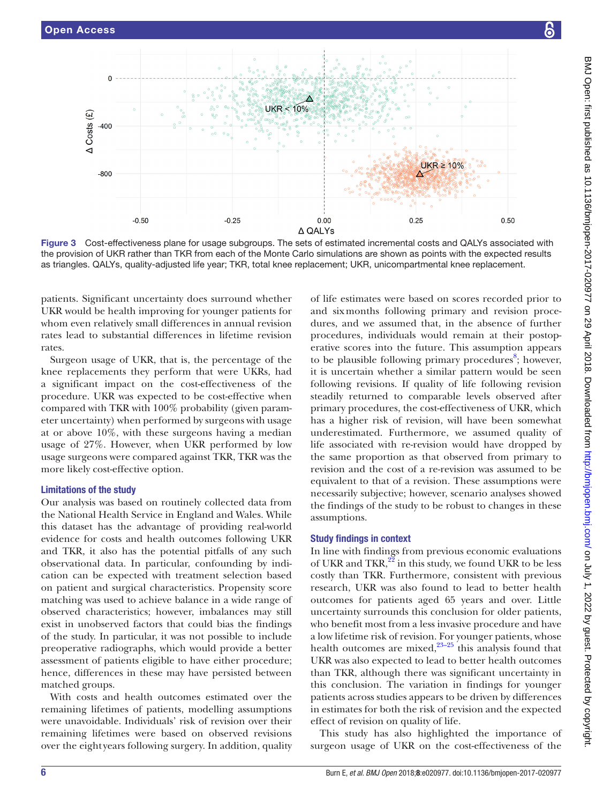

<span id="page-5-0"></span>Figure 3 Cost-effectiveness plane for usage subgroups. The sets of estimated incremental costs and QALYs associated with the provision of UKR rather than TKR from each of the Monte Carlo simulations are shown as points with the expected results as triangles. QALYs, quality-adjusted life year; TKR, total knee replacement; UKR, unicompartmental knee replacement.

patients. Significant uncertainty does surround whether UKR would be health improving for younger patients for whom even relatively small differences in annual revision rates lead to substantial differences in lifetime revision rates.

Surgeon usage of UKR, that is, the percentage of the knee replacements they perform that were UKRs, had a significant impact on the cost-effectiveness of the procedure. UKR was expected to be cost-effective when compared with TKR with 100% probability (given parameter uncertainty) when performed by surgeons with usage at or above 10%, with these surgeons having a median usage of 27%. However, when UKR performed by low usage surgeons were compared against TKR, TKR was the more likely cost-effective option.

# Limitations of the study

Our analysis was based on routinely collected data from the National Health Service in England and Wales. While this dataset has the advantage of providing real-world evidence for costs and health outcomes following UKR and TKR, it also has the potential pitfalls of any such observational data. In particular, confounding by indication can be expected with treatment selection based on patient and surgical characteristics. Propensity score matching was used to achieve balance in a wide range of observed characteristics; however, imbalances may still exist in unobserved factors that could bias the findings of the study. In particular, it was not possible to include preoperative radiographs, which would provide a better assessment of patients eligible to have either procedure; hence, differences in these may have persisted between matched groups.

With costs and health outcomes estimated over the remaining lifetimes of patients, modelling assumptions were unavoidable. Individuals' risk of revision over their remaining lifetimes were based on observed revisions over the eight years following surgery. In addition, quality

of life estimates were based on scores recorded prior to and sixmonths following primary and revision procedures, and we assumed that, in the absence of further procedures, individuals would remain at their postoperative scores into the future. This assumption appears to be plausible following primary procedures<sup>8</sup>; however, it is uncertain whether a similar pattern would be seen following revisions. If quality of life following revision steadily returned to comparable levels observed after primary procedures, the cost-effectiveness of UKR, which has a higher risk of revision, will have been somewhat underestimated. Furthermore, we assumed quality of life associated with re-revision would have dropped by the same proportion as that observed from primary to revision and the cost of a re-revision was assumed to be equivalent to that of a revision. These assumptions were necessarily subjective; however, scenario analyses showed the findings of the study to be robust to changes in these assumptions.

# Study findings in context

In line with findings from previous economic evaluations of UKR and  $TKR$ ,<sup>[22](#page-7-7)</sup> in this study, we found UKR to be less costly than TKR. Furthermore, consistent with previous research, UKR was also found to lead to better health outcomes for patients aged 65 years and over. Little uncertainty surrounds this conclusion for older patients, who benefit most from a less invasive procedure and have a low lifetime risk of revision. For younger patients, whose health outcomes are mixed, $23-25$  this analysis found that UKR was also expected to lead to better health outcomes than TKR, although there was significant uncertainty in this conclusion. The variation in findings for younger patients across studies appears to be driven by differences in estimates for both the risk of revision and the expected effect of revision on quality of life.

This study has also highlighted the importance of surgeon usage of UKR on the cost-effectiveness of the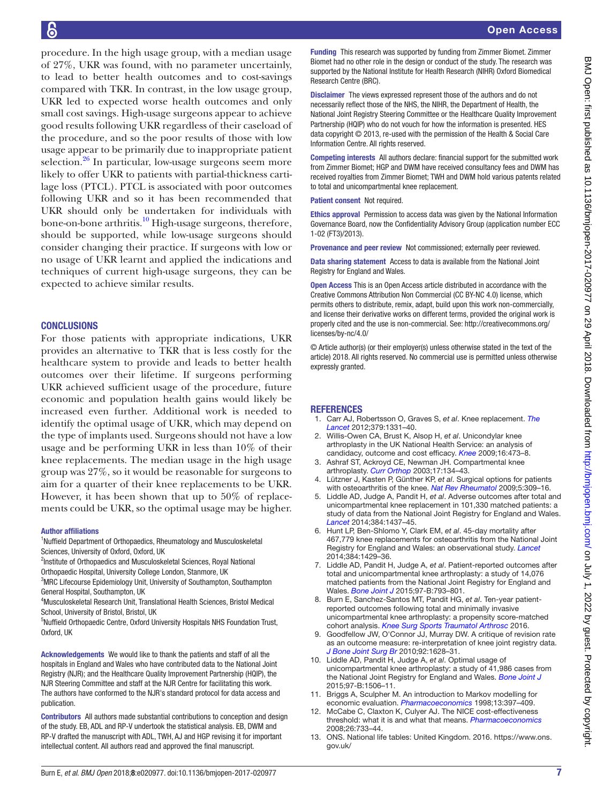procedure. In the high usage group, with a median usage of 27%, UKR was found, with no parameter uncertainly, to lead to better health outcomes and to cost-savings compared with TKR. In contrast, in the low usage group, UKR led to expected worse health outcomes and only small cost savings. High-usage surgeons appear to achieve good results following UKR regardless of their caseload of the procedure, and so the poor results of those with low usage appear to be primarily due to inappropriate patient selection.<sup>26</sup> In particular, low-usage surgeons seem more likely to offer UKR to patients with partial-thickness cartilage loss (PTCL). PTCL is associated with poor outcomes following UKR and so it has been recommended that UKR should only be undertaken for individuals with bone-on-bone arthritis.<sup>[10](#page-6-6)</sup> High-usage surgeons, therefore, should be supported, while low-usage surgeons should consider changing their practice. If surgeons with low or no usage of UKR learnt and applied the indications and

# **CONCLUSIONS**

6

For those patients with appropriate indications, UKR provides an alternative to TKR that is less costly for the healthcare system to provide and leads to better health outcomes over their lifetime. If surgeons performing UKR achieved sufficient usage of the procedure, future economic and population health gains would likely be increased even further. Additional work is needed to identify the optimal usage of UKR, which may depend on the type of implants used. Surgeons should not have a low usage and be performing UKR in less than 10% of their knee replacements. The median usage in the high usage group was 27%, so it would be reasonable for surgeons to aim for a quarter of their knee replacements to be UKR. However, it has been shown that up to 50% of replacements could be UKR, so the optimal usage may be higher.

techniques of current high-usage surgeons, they can be

expected to achieve similar results.

#### Author affiliations

<sup>1</sup>Nuffield Department of Orthopaedics, Rheumatology and Musculoskeletal Sciences, University of Oxford, Oxford, UK

- <sup>2</sup>Institute of Orthopaedics and Musculoskeletal Sciences, Royal National Orthopaedic Hospital, University College London, Stanmore, UK
- <sup>3</sup>MRC Lifecourse Epidemiology Unit, University of Southampton, Southampton General Hospital, Southampton, UK
- 4 Musculoskeletal Research Unit, Translational Health Sciences, Bristol Medical School, University of Bristol, Bristol, UK
- <sup>5</sup>Nuffield Orthopaedic Centre, Oxford University Hospitals NHS Foundation Trust, Oxford, UK

Acknowledgements We would like to thank the patients and staff of all the hospitals in England and Wales who have contributed data to the National Joint Registry (NJR); and the Healthcare Quality Improvement Partnership (HQIP), the NJR Steering Committee and staff at the NJR Centre for facilitating this work. The authors have conformed to the NJR's standard protocol for data access and publication.

Contributors All authors made substantial contributions to conception and design of the study. EB, ADL and RP-V undertook the statistical analysis. EB, DWM and RP-V drafted the manuscript with ADL, TWH, AJ and HGP revising it for important intellectual content. All authors read and approved the final manuscript.

Funding This research was supported by funding from Zimmer Biomet. Zimmer Biomet had no other role in the design or conduct of the study. The research was supported by the National Institute for Health Research (NIHR) Oxford Biomedical Research Centre (BRC).

Disclaimer The views expressed represent those of the authors and do not necessarily reflect those of the NHS, the NIHR, the Department of Health, the National Joint Registry Steering Committee or the Healthcare Quality Improvement Partnership (HQIP) who do not vouch for how the information is presented. HES data copyright © 2013, re-used with the permission of the Health & Social Care Information Centre. All rights reserved.

Competing interests All authors declare: financial support for the submitted work from Zimmer Biomet; HGP and DWM have received consultancy fees and DWM has received royalties from Zimmer Biomet; TWH and DWM hold various patents related to total and unicompartmental knee replacement.

Patient consent Not required.

Ethics approval Permission to access data was given by the National Information Governance Board, now the Confidentiality Advisory Group (application number ECC 1-02 (FT3)/2013).

Provenance and peer review Not commissioned; externally peer reviewed.

Data sharing statement Access to data is available from the National Joint Registry for England and Wales.

Open Access This is an Open Access article distributed in accordance with the Creative Commons Attribution Non Commercial (CC BY-NC 4.0) license, which permits others to distribute, remix, adapt, build upon this work non-commercially, and license their derivative works on different terms, provided the original work is properly cited and the use is non-commercial. See: [http://creativecommons.org/](http://creativecommons.org/licenses/by-nc/4.0/) [licenses/by-nc/4.0/](http://creativecommons.org/licenses/by-nc/4.0/)

© Article author(s) (or their employer(s) unless otherwise stated in the text of the article) 2018. All rights reserved. No commercial use is permitted unless otherwise expressly granted.

# **REFERENCES**

- <span id="page-6-0"></span>1. Carr AJ, Robertsson O, Graves S, *et al*. Knee replacement. *[The](http://dx.doi.org/10.1016/S0140-6736(11)60752-6)  [Lancet](http://dx.doi.org/10.1016/S0140-6736(11)60752-6)* 2012;379:1331–40.
- <span id="page-6-1"></span>2. Willis-Owen CA, Brust K, Alsop H, *et al*. Unicondylar knee arthroplasty in the UK National Health Service: an analysis of candidacy, outcome and cost efficacy. *[Knee](http://dx.doi.org/10.1016/j.knee.2009.04.006)* 2009;16:473–8.
- <span id="page-6-2"></span>3. Ashraf ST, Ackroyd CE, Newman JH. Compartmental knee arthroplasty. *[Curr Orthop](http://dx.doi.org/10.1054/cuor.2002.0312)* 2003;17:134–43.
- 4. Lützner J, Kasten P, Günther KP, *et al*. Surgical options for patients with osteoarthritis of the knee. *[Nat Rev Rheumatol](http://dx.doi.org/10.1038/nrrheum.2009.88)* 2009;5:309–16.
- <span id="page-6-3"></span>5. Liddle AD, Judge A, Pandit H, *et al*. Adverse outcomes after total and unicompartmental knee replacement in 101,330 matched patients: a study of data from the National Joint Registry for England and Wales. *[Lancet](http://dx.doi.org/10.1016/S0140-6736(14)60419-0)* 2014;384:1437–45.
- 6. Hunt LP, Ben-Shlomo Y, Clark EM, *et al*. 45-day mortality after 467,779 knee replacements for osteoarthritis from the National Joint Registry for England and Wales: an observational study. *[Lancet](http://dx.doi.org/10.1016/S0140-6736(14)60540-7)* 2014;384:1429–36.
- <span id="page-6-4"></span>7. Liddle AD, Pandit H, Judge A, *et al*. Patient-reported outcomes after total and unicompartmental knee arthroplasty: a study of 14,076 matched patients from the National Joint Registry for England and Wales. *[Bone Joint J](http://dx.doi.org/10.1302/0301-620X.97B6.35155)* 2015;97-B:793–801.
- <span id="page-6-10"></span>8. Burn E, Sanchez-Santos MT, Pandit HG, *et al*. Ten-year patientreported outcomes following total and minimally invasive unicompartmental knee arthroplasty: a propensity score-matched cohort analysis. *[Knee Surg Sports Traumatol Arthrosc](http://dx.doi.org/10.1007/s00167-016-4404-7)* 2016.
- <span id="page-6-5"></span>9. Goodfellow JW, O'Connor JJ, Murray DW. A critique of revision rate as an outcome measure: re-interpretation of knee joint registry data. *[J Bone Joint Surg Br](http://dx.doi.org/10.1302/0301-620X.92B12.25193)* 2010;92:1628–31.
- <span id="page-6-6"></span>10. Liddle AD, Pandit H, Judge A, *et al*. Optimal usage of unicompartmental knee arthroplasty: a study of 41,986 cases from the National Joint Registry for England and Wales. *[Bone Joint J](http://dx.doi.org/10.1302/0301-620X.97B11.35551)* 2015;97-B:1506–11.
- <span id="page-6-7"></span>11. Briggs A, Sculpher M. An introduction to Markov modelling for economic evaluation. *[Pharmacoeconomics](http://dx.doi.org/10.2165/00019053-199813040-00003)* 1998;13:397–409.
- <span id="page-6-8"></span>12. McCabe C, Claxton K, Culyer AJ. The NICE cost-effectiveness threshold: what it is and what that means. *[Pharmacoeconomics](http://www.ncbi.nlm.nih.gov/pubmed/18767894)* 2008;26:733–44.
- <span id="page-6-9"></span>13. ONS. National life tables: United Kingdom. 2016. [https://www.ons.](https://www.ons.gov.uk/) [gov.uk/](https://www.ons.gov.uk/)